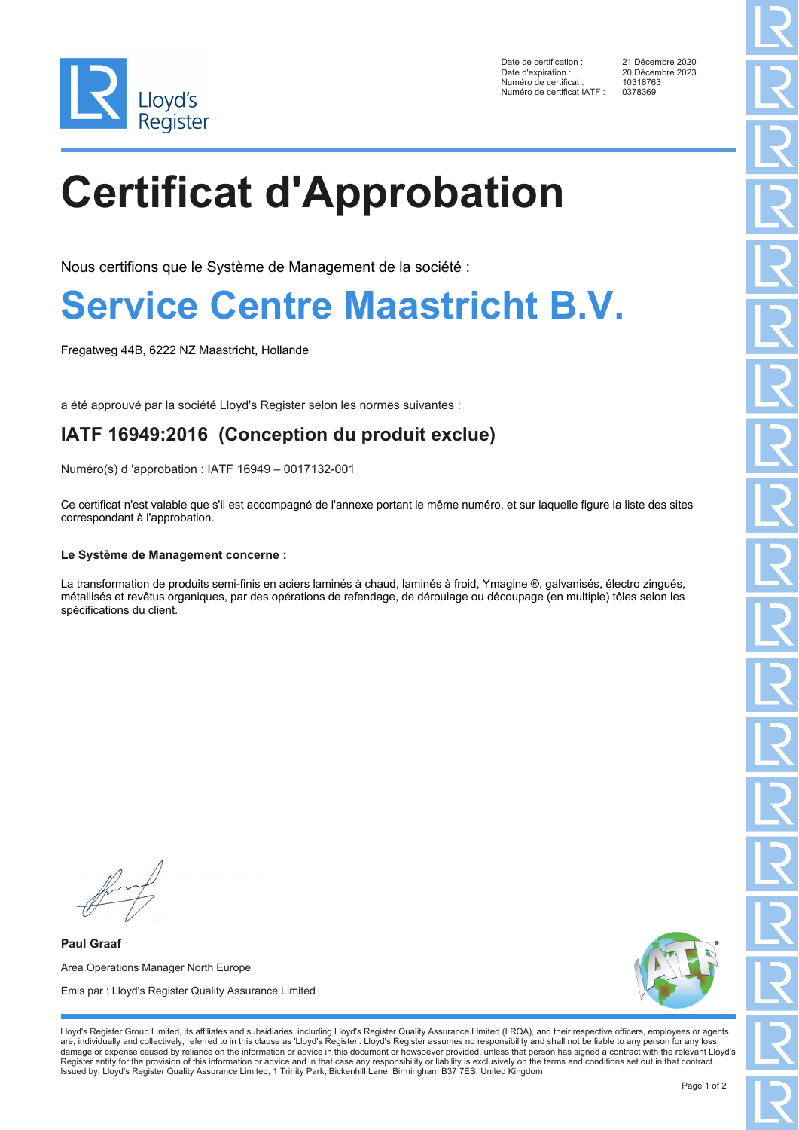

Date de certification : 21 Décembre 2020 Date d'expiration : 20 Décembre 2023<br>Numéro de certificat : 10318763 Numéro de certificat : 1031876<br>Numéro de certificat IATE : 0378369 Numéro de certificat IATF :

# **Certificat d'Approbation**

Nous certifions que le Système de Management de la société :

### **Service Centre Maastricht B.V.**

Fregatweg 44B, 6222 NZ Maastricht, Hollande

a été approuvé par la société Lloyd's Register selon les normes suivantes :

### **IATF 16949:2016 (Conception du produit exclue)**

Numéro(s) d 'approbation : IATF 16949 – 0017132-001

Ce certificat n'est valable que s'il est accompagné de l'annexe portant le même numéro, et sur laquelle figure la liste des sites correspondant à l'approbation.

#### **Le Système de Management concerne :**

La transformation de produits semi-finis en aciers laminés à chaud, laminés à froid, Ymagine ®, galvanisés, électro zingués, métallisés et revêtus organiques, par des opérations de refendage, de déroulage ou découpage (en multiple) tôles selon les spécifications du client.

**Paul Graaf** Area Operations Manager North Europe Emis par : Lloyd's Register Quality Assurance Limited



Lloyd's Register Group Limited, its affiliates and subsidiaries, including Lloyd's Register Quality Assurance Limited (LRQA), and their respective officers, employees or agents are, individually and collectively, referred to in this clause as 'Lloyd's Register'. Lloyd's Register assumes no responsibility and shall not be liable to any person for any loss,<br>damage or expense caused by reliance on t Register entity for the provision of this information or advice and in that case any responsibility or liability is exclusively on the terms and conditions set out in that contract. Issued by: Lloyd's Register Quality Assurance Limited, 1 Trinity Park, Bickenhill Lane, Birmingham B37 7ES, United Kingdom